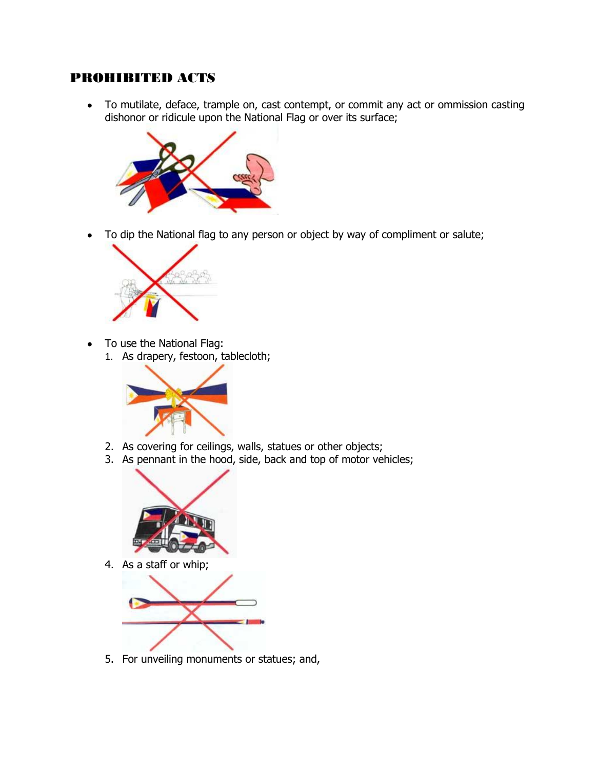## PROHIBITED ACTS

To mutilate, deface, trample on, cast contempt, or commit any act or ommission casting  $\bullet$ dishonor or ridicule upon the National Flag or over its surface;



To dip the National flag to any person or object by way of compliment or salute;  $\bullet$ 



- To use the National Flag:  $\bullet$ 
	- 1. As drapery, festoon, tablecloth;



- 2. As covering for ceilings, walls, statues or other objects;
- 3. As pennant in the hood, side, back and top of motor vehicles;



4. As a staff or whip;



5. For unveiling monuments or statues; and,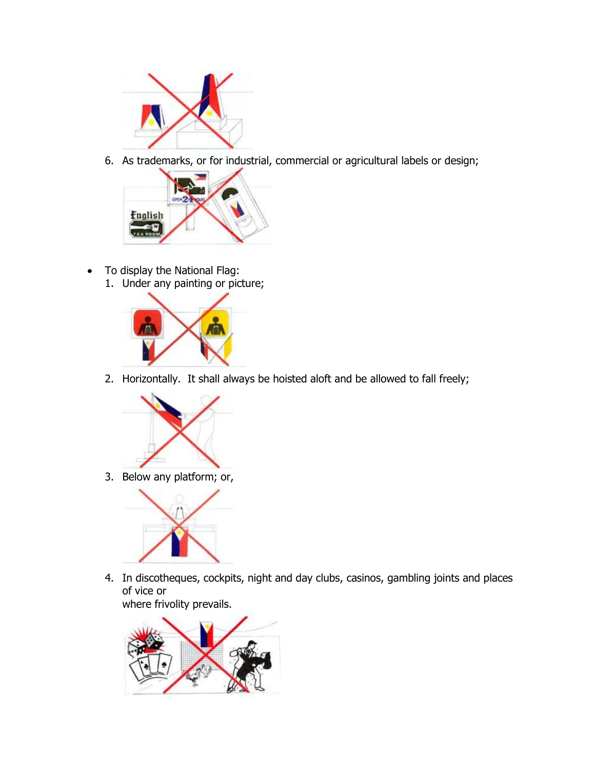

6. As trademarks, or for industrial, commercial or agricultural labels or design;



- To display the National Flag:  $\bullet$ 
	- 1. Under any painting or picture;



2. Horizontally. It shall always be hoisted aloft and be allowed to fall freely;



3. Below any platform; or,



4. In discotheques, cockpits, night and day clubs, casinos, gambling joints and places of vice or where frivolity prevails.